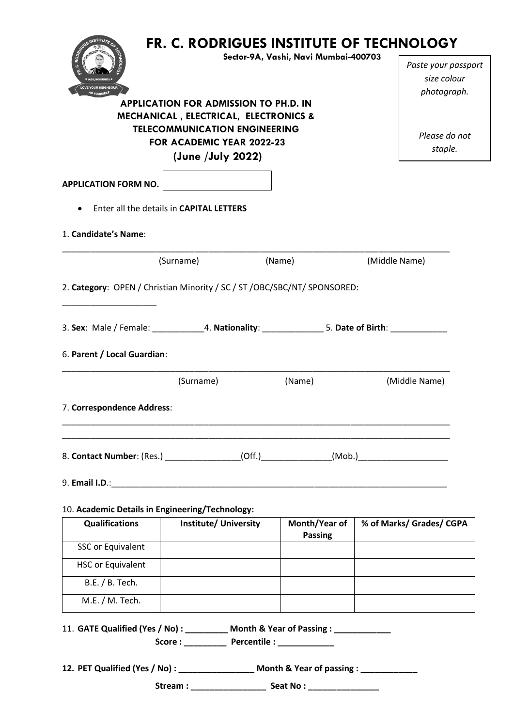| FR. C. RODRIGUES INSTITUTE OF TECHNOLOGY<br>Sector-9A, Vashi, Navi Mumbai-400703<br>C. RO<br><b>VE YOUR NEIGHBOUR</b><br><b>APPLICATION FOR ADMISSION TO PH.D. IN</b><br><b>MECHANICAL, ELECTRICAL, ELECTRONICS &amp;</b><br><b>TELECOMMUNICATION ENGINEERING</b><br>FOR ACADEMIC YEAR 2022-23<br>(June /July 2022) |                                                                                                       |                | Paste your passport<br>size colour<br>photograph.<br>Please do not<br>staple. |
|---------------------------------------------------------------------------------------------------------------------------------------------------------------------------------------------------------------------------------------------------------------------------------------------------------------------|-------------------------------------------------------------------------------------------------------|----------------|-------------------------------------------------------------------------------|
| <b>APPLICATION FORM NO.</b>                                                                                                                                                                                                                                                                                         |                                                                                                       |                |                                                                               |
| $\bullet$                                                                                                                                                                                                                                                                                                           | Enter all the details in <b>CAPITAL LETTERS</b>                                                       |                |                                                                               |
| 1. Candidate's Name:                                                                                                                                                                                                                                                                                                |                                                                                                       |                |                                                                               |
|                                                                                                                                                                                                                                                                                                                     | (Surname)                                                                                             | (Name)         | (Middle Name)                                                                 |
| 6. Parent / Local Guardian:                                                                                                                                                                                                                                                                                         | 3. Sex: Male / Female: ______________4. Nationality: ________________5. Date of Birth: ____________   |                |                                                                               |
|                                                                                                                                                                                                                                                                                                                     | (Surname)                                                                                             | (Name)         | (Middle Name)                                                                 |
|                                                                                                                                                                                                                                                                                                                     | 8. Contact Number: (Res.) ________________(Off.) ______________(Mob.) ______________________________  |                |                                                                               |
|                                                                                                                                                                                                                                                                                                                     |                                                                                                       |                |                                                                               |
| <b>Qualifications</b>                                                                                                                                                                                                                                                                                               | 10. Academic Details in Engineering/Technology:<br><b>Institute/ University</b>                       | Month/Year of  | % of Marks/ Grades/ CGPA                                                      |
| <b>SSC or Equivalent</b>                                                                                                                                                                                                                                                                                            |                                                                                                       | <b>Passing</b> |                                                                               |
| <b>HSC or Equivalent</b>                                                                                                                                                                                                                                                                                            |                                                                                                       |                |                                                                               |
| B.E. / B. Tech.                                                                                                                                                                                                                                                                                                     |                                                                                                       |                |                                                                               |
| M.E. / M. Tech.                                                                                                                                                                                                                                                                                                     |                                                                                                       |                |                                                                               |
| 7. Correspondence Address:                                                                                                                                                                                                                                                                                          | 11. GATE Qualified (Yes / No) : _________ Month & Year of Passing : ___________<br>Score: Percentile: |                |                                                                               |